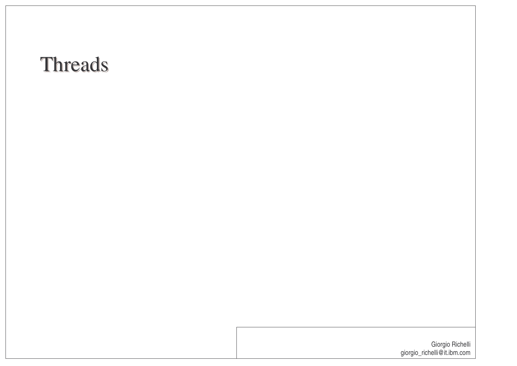#### Threads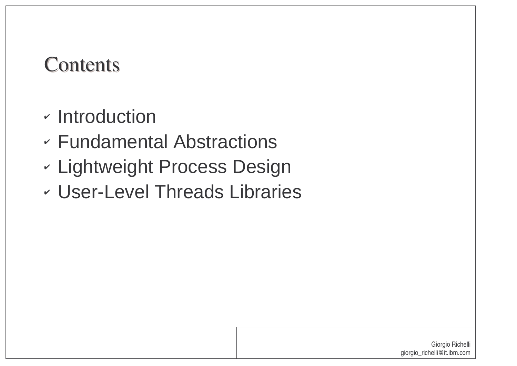#### **Contents**

- $\overline{\phantom{\alpha}}$  Introduction
- Fundamental Abstractions
- Lightweight Process Design
- User-Level Threads Libraries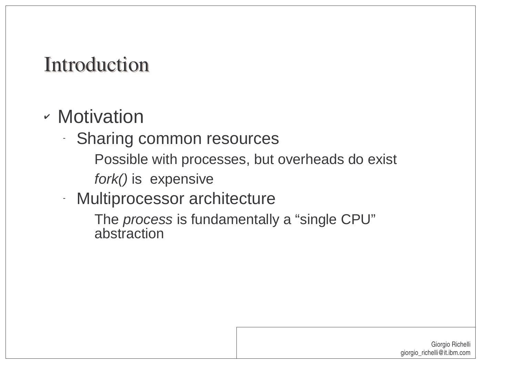#### Introduction

#### Motivation

- - Sharing common resources
	- Possible with processes, but overheads do exist
	- fork() is expensive
- Multiprocessor architecture

The *process* is fundamentally a "single CPU" abstraction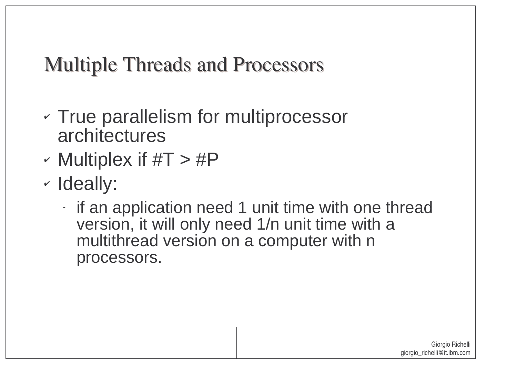# Multiple Threads and Processors

- True parallelism for multiprocessor architectures
- V Multiplex if #T <sup>&</sup>gt; #P
- Ideally:
	- if an application need 1 unit time with one thread version, it will only need 1/n unit time with <sup>a</sup> multithread version on <sup>a</sup> computer with <sup>n</sup> processors.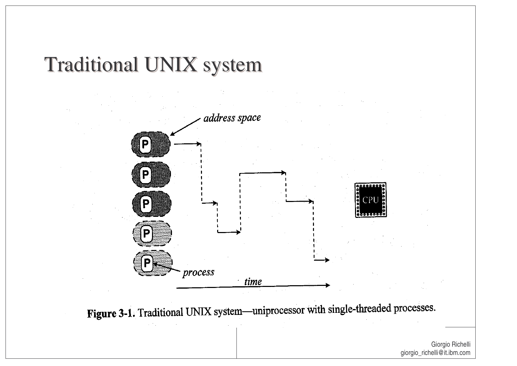## Traditional UNIX system



Figure 3-1. Traditional UNIX system—uniprocessor with single-threaded processes.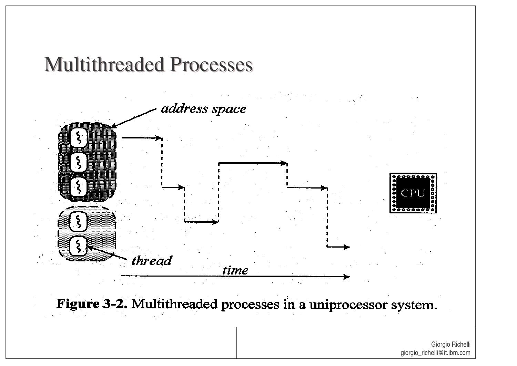#### Multithreaded Processes

address space

 $\mathbf{P}$ , . . . . .

thread time

Figure 3-2. Multithreaded processes in a uniprocessor system.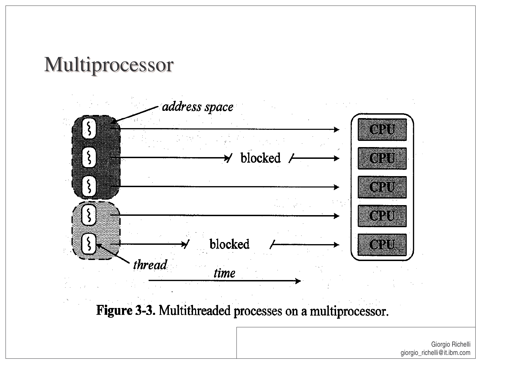# Multiprocessor



Figure 3-3. Multithreaded processes on a multiprocessor.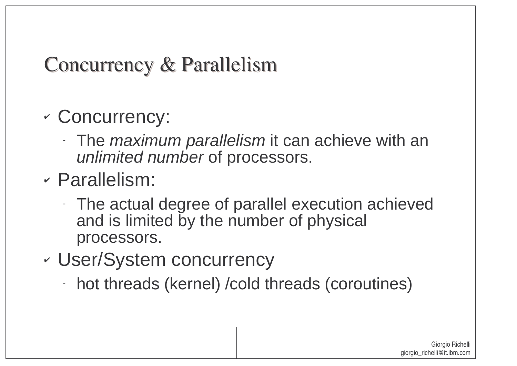# Concurrency & Parallelism

- V Concurrency:
	- The *maximum parallelism* it can achieve with an unlimited number of processors.
- Parallelism:
	- The actual degree of parallel execution achieved and is limited by the number of physical processors.
- V User/System concurrency
	- hot threads (kernel) /cold threads (coroutines)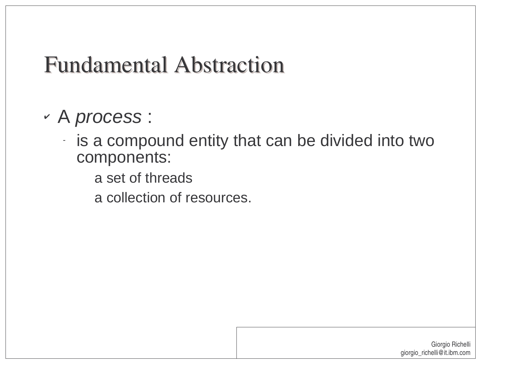# Fundamental Abstraction

- A process :
	- is a compound entity that can be divided into two components:
		- a set of threads
		- a collection of resources.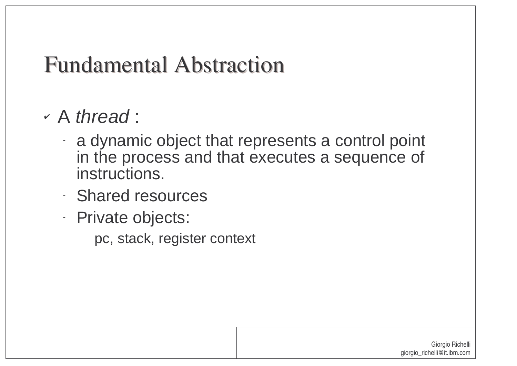# Fundamental Abstraction

- A thread :
	- a dynamic object that represents <sup>a</sup> control point in the process and that executes <sup>a</sup> sequence of instructions.
	- Shared resources
	- Private objects:
		- pc, stack, register context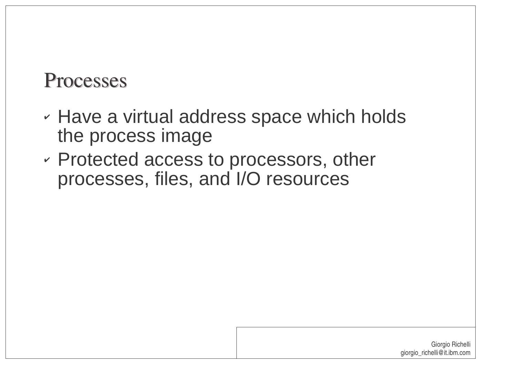#### Processes

- $\cdot$  Have a virtual address space which holds the process image
- $\backsim$  Protected access to processors, other processes, files, and I/O resources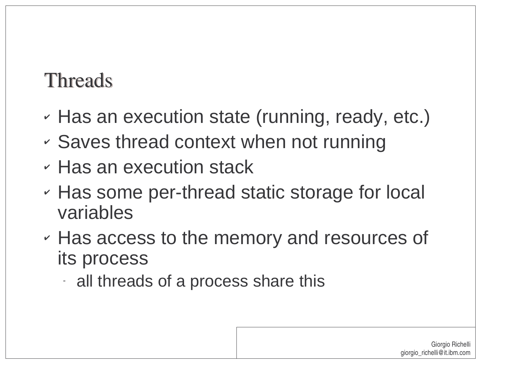#### Threads

- $\cdot$  Has an execution state (running, ready, etc.)
- Saves thread context when not running
- $\cdot$  Has an execution stack
- $\cdot$  Has some per-thread static storage for local variables
- $\cdot$  Has access to the memory and resources of its process
	- all threads of a process share this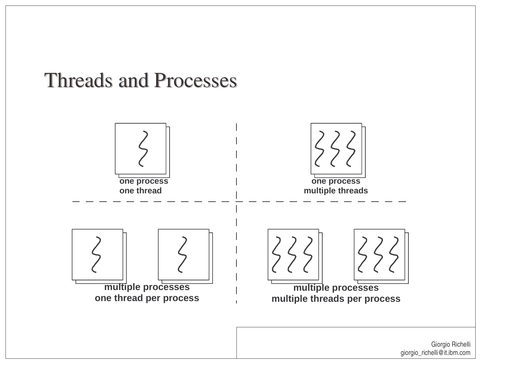#### Threads and Processes

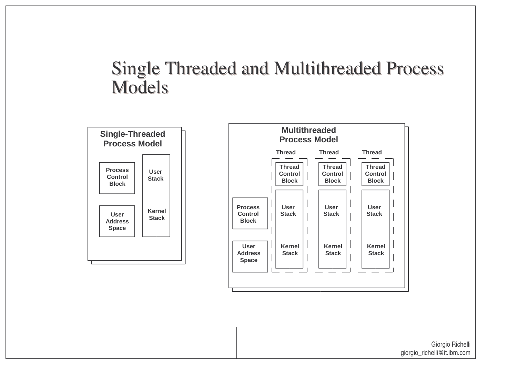#### Single Threaded and Multithreaded Process Models



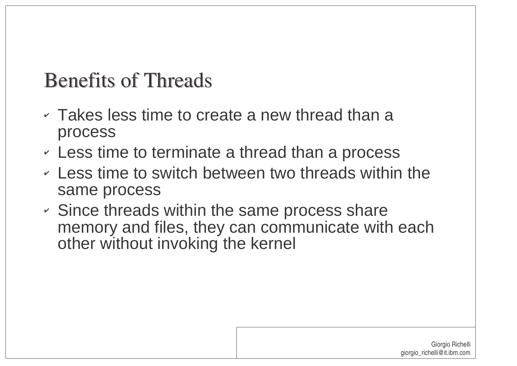### Benefits of Threads

- $\circ$  Takes less time to create a new thread than a process
- $\sim$  Less time to terminate a thread than a process
- $\sim$  Less time to switch between two threads within the same process
- $\sim$  Since threads within the same process share memory and files, they can communicate with each other without invoking the kernel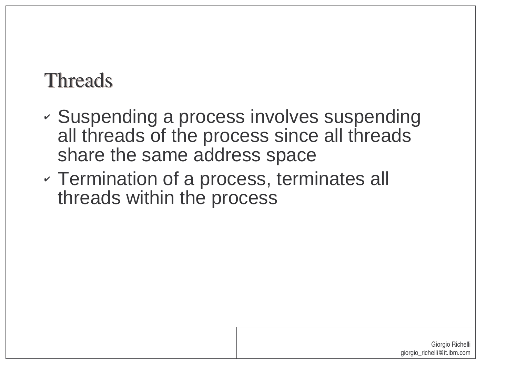#### Threads

- V Suspending <sup>a</sup> process involves suspending all threads of the process since all threads share the same address space
- Termination of <sup>a</sup> process, terminates all threads within the process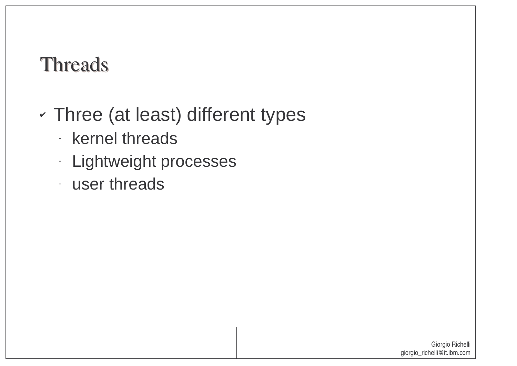#### Threads

- Three (at least) different types
	- **kernel threads**
	- -**Lightweight processes**
	- user threads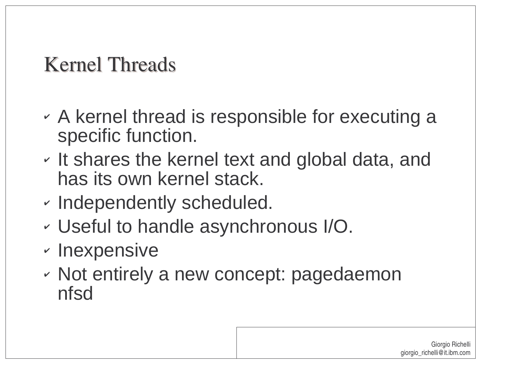# Kernel Threads

- $\backsim$  A kernel thread is responsible for executing a specific function.
- $\cdot$  It shares the kernel text and global data, and has its own kernel stack.
- V  $\cdot$  Independently scheduled.
- Useful to handle asynchronous I/O.
- $\mathord{\text{\rm \i}}$  Inexpensive
- $\mathord{\hspace{1pt}\scriptstyle\cdot\hspace{1pt}}$  Not entirely a new concept: pagedaemon nfsd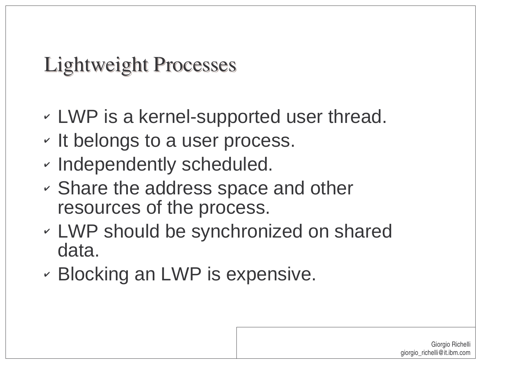Lightweight Processes

- LWP is <sup>a</sup> kernel-supported user thread.
- $\backsim$  It belongs to a user process.
- V  $\cdot$  Independently scheduled.
- Share the address space and other resources of the process.
- LWP should be synchronized on shared data.
- Blocking an LWP is expensive.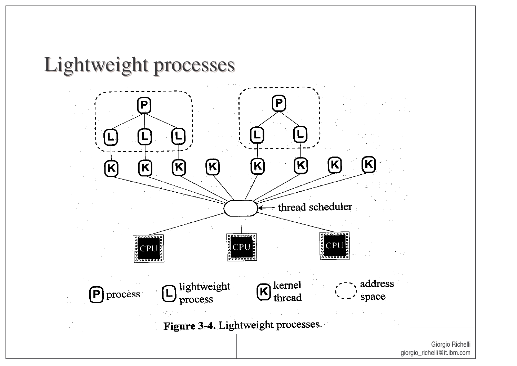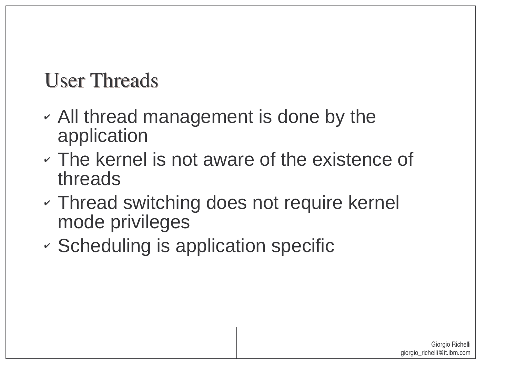# User Threads

- All thread management is done by the application
- The kernel is not aware of the existence of threads
- Thread switching does not require kernel mode privileges
- V  $\sim$  Scheduling is application specific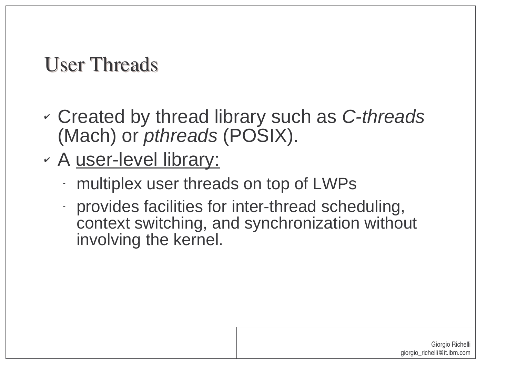# User Threads

- created by thread library such as C-threads (Mach) or pthreads (POSIX).
- <sub>∽</sub> A <u>user-level library:</u>
	- multiplex user threads on top of LWPs
	- provides facilities for inter-thread scheduling, context switching, and synchronization without involving the kernel.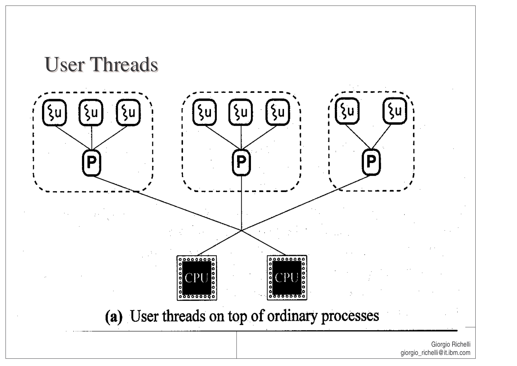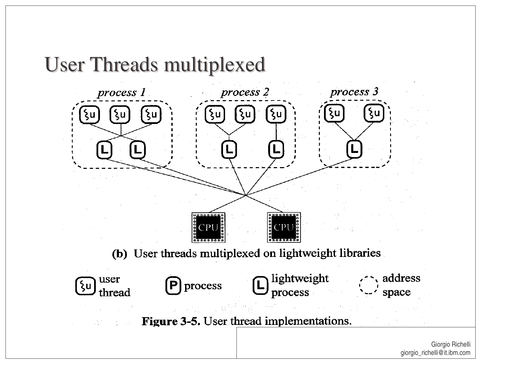

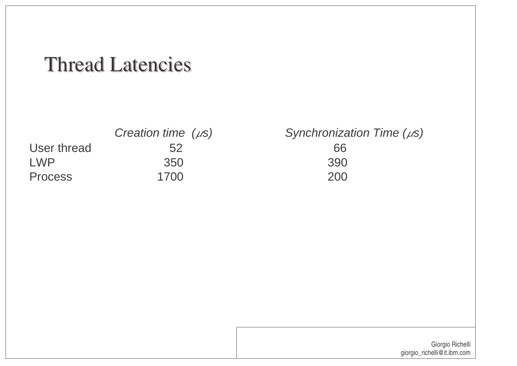#### Thread Latencies

|                | Creation time $(\mu s)$ | Synchroniza |
|----------------|-------------------------|-------------|
| User thread    | 52                      | 66          |
| I WP           | 350                     | 390         |
| <b>Process</b> | 1700                    | 200         |

 $\int$  Synchronization Time ( $\mu$ s) 200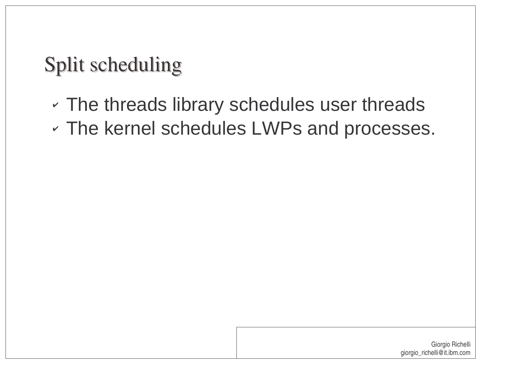# Split scheduling

- $\cdot$  The threads library schedules user threads
- The kernel schedules LWPs and processes.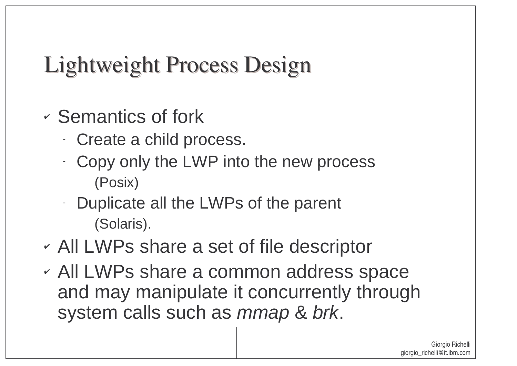# Lightweight Process Design

- $\sim$  Semantics of fork
	- Create <sup>a</sup> child process.
	- Copy only the LWP into the new process (Posix)
	- Duplicate all the LWPs of the parent (Solaris).
- All LWPs share <sup>a</sup> set of file descriptor
- All LWPs share <sup>a</sup> common address space and may manipulate it concurrently through system calls such as mmap & brk.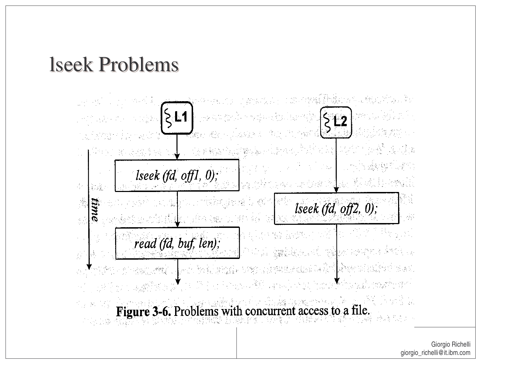#### lseek Problems

a mar maga kabupatèn Ka 할아버지의 기 10 APR eksi langki  $|\xi|$ 1 <u> 지지잡은 거품</u>로?  $512$ Rance Boys, California  $\label{eq:reduced} \begin{split} \mathcal{L}_{\mathcal{A}}(\mathcal{A})=\mathcal{L}_{\mathcal{A}}(\mathcal{A})=\mathcal{L}_{\mathcal{A}}(\mathcal{A})=\mathcal{L}_{\mathcal{A}}(\mathcal{A})=\mathcal{L}_{\mathcal{A}}(\mathcal{A})=\mathcal{L}_{\mathcal{A}}(\mathcal{A})=\mathcal{L}_{\mathcal{A}}(\mathcal{A})=\mathcal{L}_{\mathcal{A}}(\mathcal{A})=\mathcal{L}_{\mathcal{A}}(\mathcal{A})=\mathcal{L}_{\mathcal{A}}(\mathcal{A})=\mathcal{L}_{\mathcal{A}}(\mathcal{A})=\mathcal{L}_{\mathcal$ 1. 그 그는 아이가 있다.<br>-<br>- $-3.532$ 医感染物  $\sim 5\,\mu$  $lseek (fd, off1, 0);$  $\mathcal{L}$  $\mathbb{Z}_p^k$ mykole iv time 36 lseek  $(fd, off2, 0)$ ;  $\sim$ **原始 (接下)** जुल मौला होती.  $\frac{1}{2}$ 教育文化 丝 氯酸化的 化硫 read (fd, buf, len); **Andrew Car**  $\hat{H}$ **TAN HORNOCATE** perio italia inggia prano di puntunggan Selimi  $\mathcal{L}_{\mathcal{L}}$  , and the set of  $\mathcal{L}_{\mathcal{L}}$  is the contract of the set of the set of  $\mathcal{L}_{\mathcal{L}}$ Figure 3-6. Problems with concurrent access to a file. **STARK SET** <u> 위대는 2</u>:42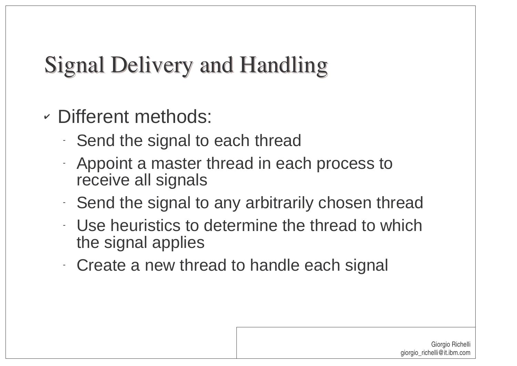# Signal Delivery and Handling

- Different methods:
	- Send the signal to each thread
	- Appoint <sup>a</sup> master thread in each process to receive all signals
	- Send the signal to any arbitrarily chosen thread
	- Use heuristics to determine the thread to which the signal applies
	- Create a new thread to handle each signal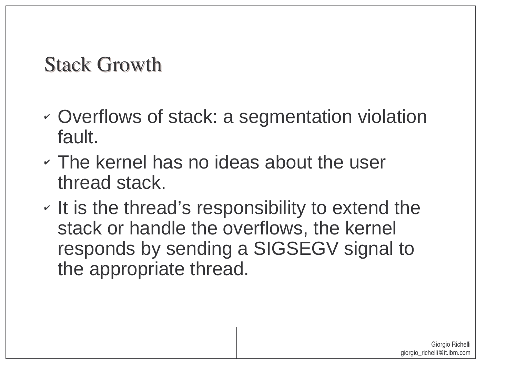#### Stack Growth

- Overflows of stack: a segmentation violation fault.
- The kernel has no ideas about the user thread stack.
- $\backsim$  It is the thread's responsibility to extend the stack or handle the overflows, the kernel responds by sending <sup>a</sup> SIGSEGV signal to the appropriate thread.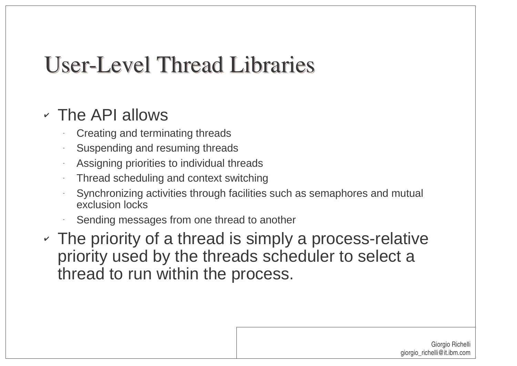# User-Level Thread Libraries

#### The API allows

- Creating and terminating threads
- Suspending and resuming threads
- Assigning priorities to individual threads
- Thread scheduling and context switching
- Synchronizing activities through facilities such as semaphores and mutual exclusion locks
- Sending messages from one thread to another
- $\sim$  The priority of a thread is simply a process-relative priority used by the threads scheduler to select <sup>a</sup> thread to run within the process.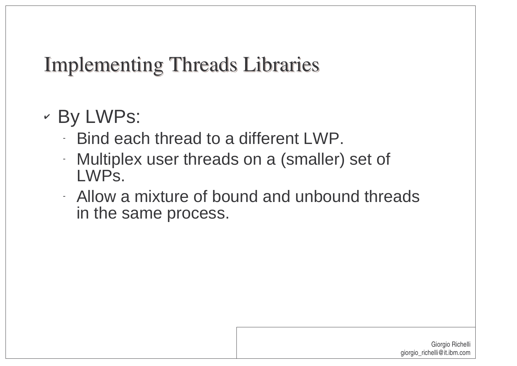#### Implementing Threads Libraries

- By LWPs:
	- Bind each thread to a different LWP.
	- Multiplex user threads on <sup>a</sup> (smaller) set of LWPs.
	- Allow a mixture of bound and unbound threads in the same process.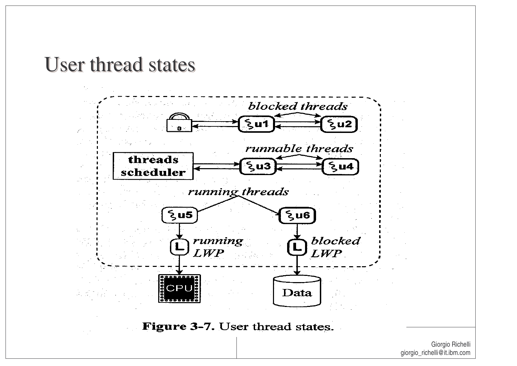#### User thread states

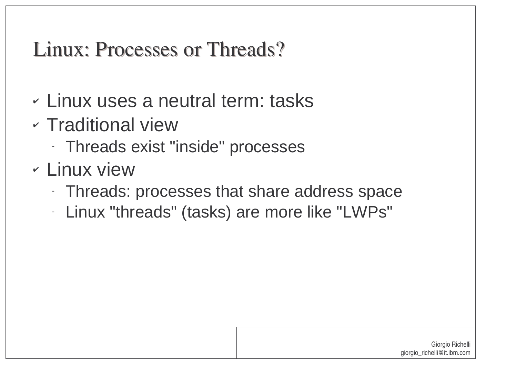### Linux: Processes or Threads?

- Linux uses a neutral term: tasks
- Traditional view
	- -Threads exist "inside" processes
- Linux view
	- -Threads: processes that share address space
	- -Linux "threads" (tasks) are more like "LWPs"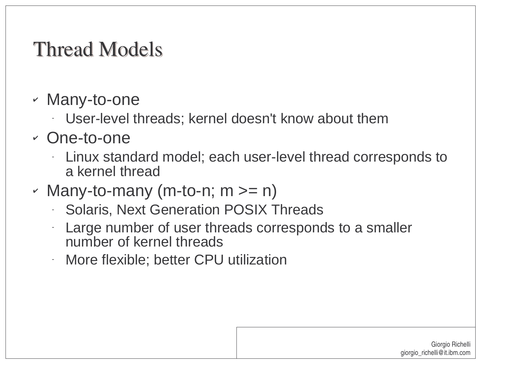# Thread Models

- Many-to-one
	- -User-level threads; kernel doesn't know about them
- One-to-one
	- Linux standard model; each user-level thread corresponds to a kernel thread
- Many-to-many (m-to-n; <sup>m</sup> >= n)
	- **Solaris, Next Generation POSIX Threads**
	- - Large number of user threads corresponds to <sup>a</sup> smaller number of kernel threads
	- -More flexible; better CPU utilization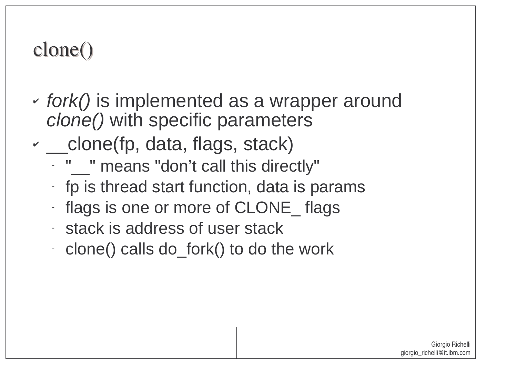# clone()

-

- V  $\sim$  fork() is implemented as a wrapper around clone() with specific parameters
- \_\_ clone(fp, data, flags, stack)
	- " $\sim$ " means "don't call this directly"
	- $-$  fp is thread start function, data is params
	- flags is one or more of CLONE\_ flags
	- stack is address of user stack
	- clone() calls do\_fork() to do the work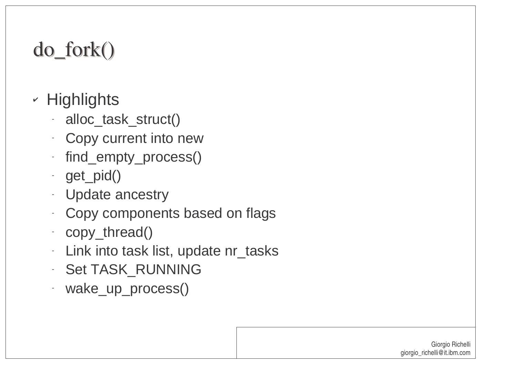# do \_ fork()

- $\mathord{\hspace{1pt}\scriptstyle\relax\hspace{1pt}}$  Highlights
	- -· alloc\_task\_struct()
	- -Copy current into new
	- find \_ empty\_process()
	- get\_pid()
	- -Update ancestry
	- -Copy components based on flags
	- copy\_thread()
	- -Link into task list, update nr\_tasks
	- -· Set TASK\_RUNNING
	- wake \_ up\_process()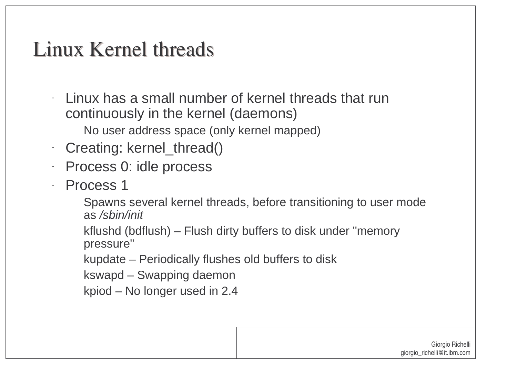#### Linux Kernel threads

- - Linux has a small number of kernel threads that run continuously in the kernel (daemons)
	- No user address space (only kernel mapped)
- -Creating: kernel\_thread()
- -Process 0: idle process
- -- Process 1
	- Spawns several kernel threads, before transitioning to user mode as /sbin/init
	- kflushd (bdflush) Flush dirty buffers to disk under "memory pressure"
	- kupdate Periodically flushes old buffers to disk
	- kswapd Swapping daemon
	- kpiod No longer used in 2.4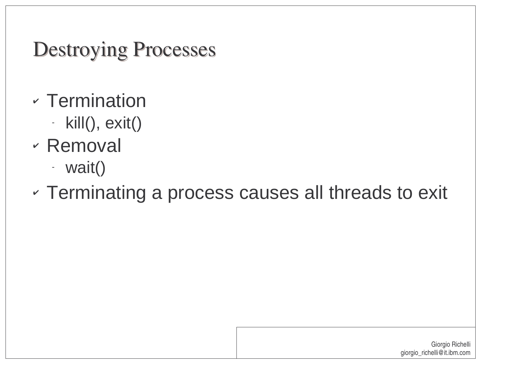Destroying Processes

- Termination
	- kill(), exit()
- Removal
	- wait()

#### V  $\circ$  Terminating a process causes all threads to exit